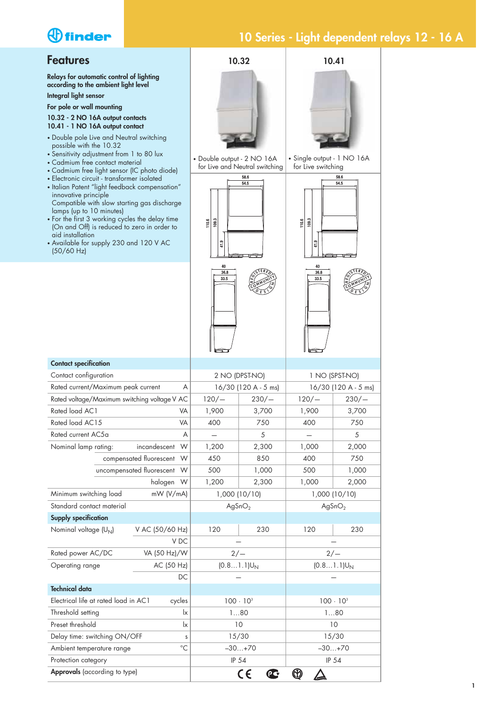# *<u>Ofinder</u>*

#### **Features**

**Relays for automatic control of lighting according to the ambient light level Integral light sensor**

#### **For pole or wall mounting**

**10.32 - 2 NO 16A output contacts 10.41 - 1 NO 16A output contact**

- Double pole Live and Neutral switching possible with the 10.32
- Sensitivity adjustment from 1 to 80 lux
- Cadmium free contact material
- Cadmium free light sensor (IC photo diode)
- Electronic circuit transformer isolated
- Italian Patent "light feedback compensation" innovative principle Compatible with slow starting gas discharge
- lamps (up to 10 minutes) • For the first 3 working cycles the delay time (On and Off) is reduced to zero in order to aid installation
- Available for supply 230 and 120 V AC (50/60 Hz)

**Contact specification** Contact configuration

**Supply specification**

**Technical data**

Protection category

**Approvals** (according to type)

Delay time: switching ON/OFF s Ambient temperature range  $^{\circ}$ C



15/30 15/30 –30…+70 –30…+70 IP 54 IP 54

 $^{\circledR}$ 

 $\Delta$ 

 $\mathbf{C}$ 

 $C\epsilon$ 

## **10 Series - Light dependent relays 12 - 16 A**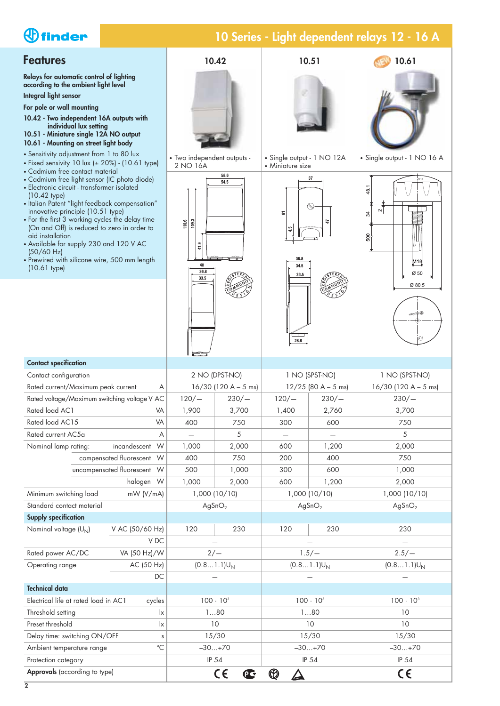# *<u>Ofinder</u>*

### **Features**

**Relays for automatic control of lighting according to the ambient light level Integral light sensor**

**For pole or wall mounting**

- **10.42 Two independent 16A outputs with individual lux setting**
- **10.51 Miniature single 12A NO output**
- 
- Sensitivity adjustment from 1 to 80 lux
- 
- Cadmium free contact material
- Electronic circuit transformer isolated
- (10.42 type) • Italian Patent "light feedback compensation" innovative principle (10.51 type)
- For the first 3 working cycles the delay time (On and Off) is reduced to zero in order to aid installation
- Available for supply 230 and 120 V AC (50/60 Hz)
- Prewired with silicone wire, 500 mm length (10.61 type)





**Technical data**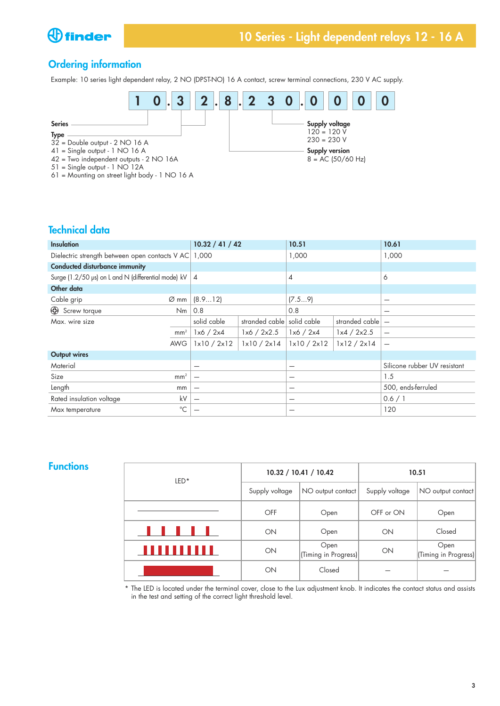

### **Ordering information**

Example: 10 series light dependent relay, 2 NO (DPST-NO) 16 A contact, screw terminal connections, 230 V AC supply.



## **Technical data**

| <b>Insulation</b>                                            |                  | 10.32 / 41 / 42          |                                           | 10.51          |                | 10.61                        |
|--------------------------------------------------------------|------------------|--------------------------|-------------------------------------------|----------------|----------------|------------------------------|
| Dielectric strength between open contacts V AC 1,000         |                  |                          |                                           | 1,000          |                | 1,000                        |
| <b>Conducted disturbance immunity</b>                        |                  |                          |                                           |                |                |                              |
| Surge (1.2/50 $\mu$ s) on L and N (differential mode) kV   4 |                  |                          |                                           | $\overline{4}$ |                | 6                            |
| Other data                                                   |                  |                          |                                           |                |                |                              |
| Cable grip                                                   | $\varnothing$ mm | (8.912)                  |                                           | (7.59)         |                | —                            |
| Screw torque                                                 | Nm               | 0.8                      |                                           | 0.8            |                | —                            |
| Max. wire size                                               |                  | solid cable              | stranded cable solid cable                |                | stranded cable | $\overline{\phantom{0}}$     |
|                                                              | mm <sup>2</sup>  | 1x6 / 2x4                | 1x6 / 2x2.5                               | 1x6 / 2x4      | 1x4 / 2x2.5    | $\overline{\phantom{0}}$     |
|                                                              | <b>AWG</b>       | 1x10 / 2x12              | $\frac{1}{1}$ $\times$ 10 / 2 $\times$ 14 | 1x10 / 2x12    | 1x12 / 2x14    |                              |
| <b>Output wires</b>                                          |                  |                          |                                           |                |                |                              |
| Material                                                     |                  | $\overline{\phantom{0}}$ |                                           | -              |                | Silicone rubber UV resistant |
| Size                                                         | mm <sup>2</sup>  |                          |                                           | -              |                | 1.5                          |
| Length                                                       | mm               | $\overline{\phantom{0}}$ |                                           | —              |                | 500, ends-ferruled           |
| Rated insulation voltage                                     | kV               | $\overline{\phantom{m}}$ |                                           | –              |                | 0.6 / 1                      |
| Max temperature                                              | $^{\circ}C$      |                          |                                           |                |                | 120                          |

#### **Functions**

| $LED*$ |                | 10.32 / 10.41 / 10.42        | 10.51          |                              |  |
|--------|----------------|------------------------------|----------------|------------------------------|--|
|        | Supply voltage | NO output contact            | Supply voltage | NO output contact            |  |
|        | <b>OFF</b>     | Open                         | OFF or ON      | Open                         |  |
|        | ON             | Open                         | ON             | Closed                       |  |
|        | ON             | Open<br>(Timing in Progress) | ON             | Open<br>(Timing in Progress) |  |
|        | ON             | Closed                       |                |                              |  |

\* The LED is located under the terminal cover, close to the Lux adjustment knob. It indicates the contact status and assists in the test and setting of the correct light threshold level.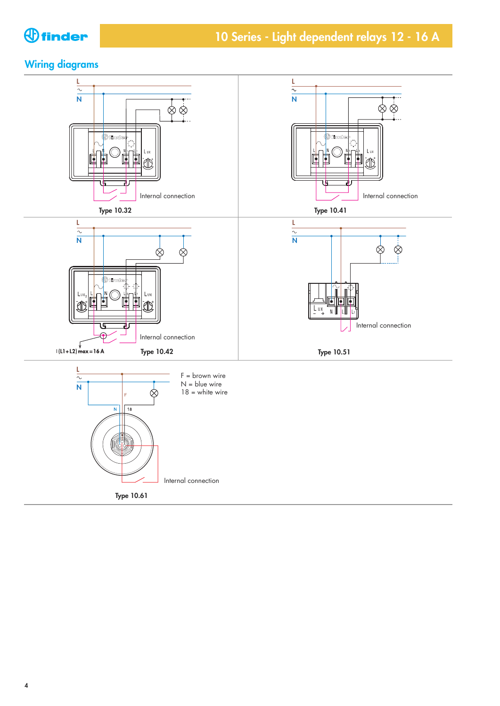

### **Wiring diagrams**